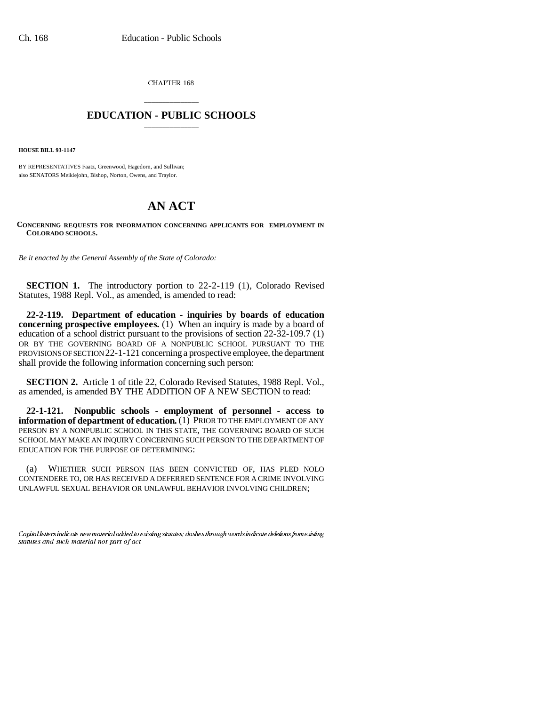CHAPTER 168

## \_\_\_\_\_\_\_\_\_\_\_\_\_\_\_ **EDUCATION - PUBLIC SCHOOLS** \_\_\_\_\_\_\_\_\_\_\_\_\_\_\_

**HOUSE BILL 93-1147**

BY REPRESENTATIVES Faatz, Greenwood, Hagedorn, and Sullivan; also SENATORS Meiklejohn, Bishop, Norton, Owens, and Traylor.

## **AN ACT**

## **CONCERNING REQUESTS FOR INFORMATION CONCERNING APPLICANTS FOR EMPLOYMENT IN COLORADO SCHOOLS.**

*Be it enacted by the General Assembly of the State of Colorado:*

**SECTION 1.** The introductory portion to 22-2-119 (1), Colorado Revised Statutes, 1988 Repl. Vol., as amended, is amended to read:

**22-2-119. Department of education - inquiries by boards of education concerning prospective employees.** (1) When an inquiry is made by a board of education of a school district pursuant to the provisions of section 22-32-109.7 (1) OR BY THE GOVERNING BOARD OF A NONPUBLIC SCHOOL PURSUANT TO THE PROVISIONS OF SECTION 22-1-121 concerning a prospective employee, the department shall provide the following information concerning such person:

**SECTION 2.** Article 1 of title 22, Colorado Revised Statutes, 1988 Repl. Vol., as amended, is amended BY THE ADDITION OF A NEW SECTION to read:

**22-1-121. Nonpublic schools - employment of personnel - access to information of department of education.** (1) PRIOR TO THE EMPLOYMENT OF ANY PERSON BY A NONPUBLIC SCHOOL IN THIS STATE, THE GOVERNING BOARD OF SUCH SCHOOL MAY MAKE AN INQUIRY CONCERNING SUCH PERSON TO THE DEPARTMENT OF EDUCATION FOR THE PURPOSE OF DETERMINING:

(a) WHETHER SUCH PERSON HAS BEEN CONVICTED OF, HAS PLED NOLO CONTENDERE TO, OR HAS RECEIVED A DEFERRED SENTENCE FOR A CRIME INVOLVING UNLAWFUL SEXUAL BEHAVIOR OR UNLAWFUL BEHAVIOR INVOLVING CHILDREN;

Capital letters indicate new material added to existing statutes; dashes through words indicate deletions from existing statutes and such material not part of act.